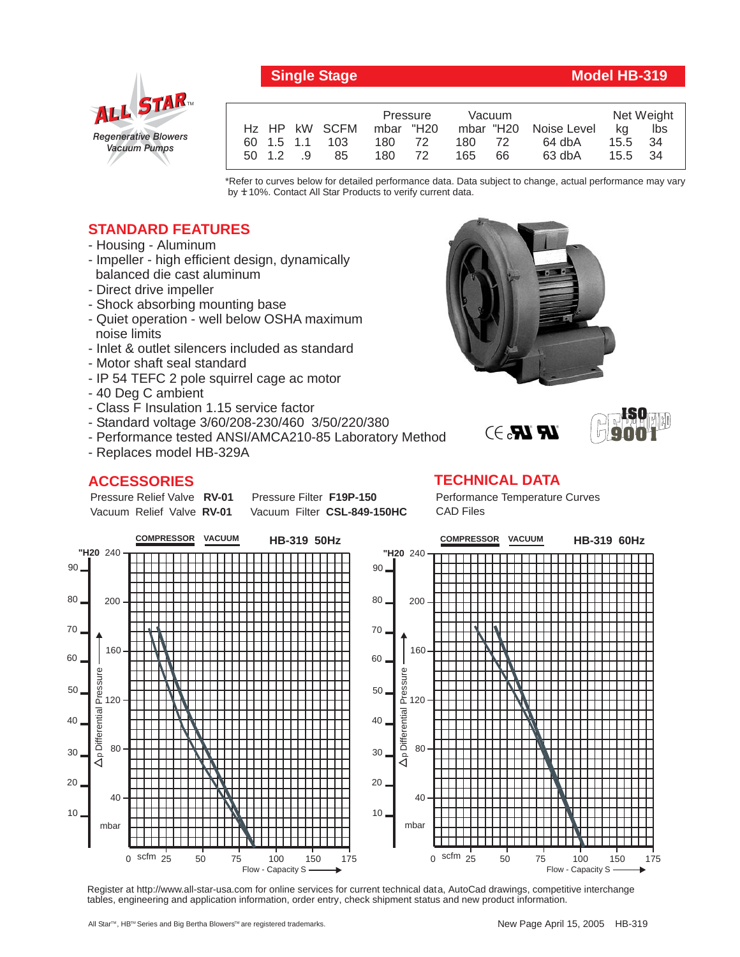

## **Single Stage Model HB-319**

|           |  |                | Pressure  |    | Vacuum |    |                       | Net Weight |     |
|-----------|--|----------------|-----------|----|--------|----|-----------------------|------------|-----|
|           |  | Hz HP kW SCFM  | mbar "H20 |    |        |    | mbar "H20 Noise Level | ka         | lbs |
|           |  | 60 1.5 1.1 103 | 180 72    |    | 180 72 |    | 64 dbA                | 15.5 34    |     |
| 50 1.2 .9 |  | 85             | 180       | 72 | 165    | 66 | 63 dbA                | 15.5 34    |     |

\*Refer to curves below for detailed performance data. Data subject to change, actual performance may vary by  $±10%$ . Contact All Star Products to verify current data.

## **STANDARD FEATURES**

- Housing Aluminum
- Impeller high efficient design, dynamically balanced die cast aluminum
- Direct drive impeller
- Shock absorbing mounting base
- Quiet operation well below OSHA maximum noise limits
- Inlet & outlet silencers included as standard
- Motor shaft seal standard
- IP 54 TEFC 2 pole squirrel cage ac motor
- 40 Deg C ambient
- Class F Insulation 1.15 service factor
- Standard voltage 3/60/208-230/460 3/50/220/380
- Performance tested ANSI/AMCA210-85 Laboratory Method
- Replaces model HB-329A

Pressure Relief Valve RV-01 Vacuum Relief Valve RV-01

## **ACCESSORIES**

**Pressure Filter F19P-150** Vacuum Filter CSL-849-150HC Performance Temperature Curves CAD Files

**TECHNICAL DATA**

 $\mathbb{R}$   $\mathbb{R}$ . $\ni$ 



Register at http://www.all-star-usa.com for online services for current technical data, AutoCad drawings, competitive interchange tables, engineering and application information, order entry, check shipment status and new product information.





**ISO 9001**